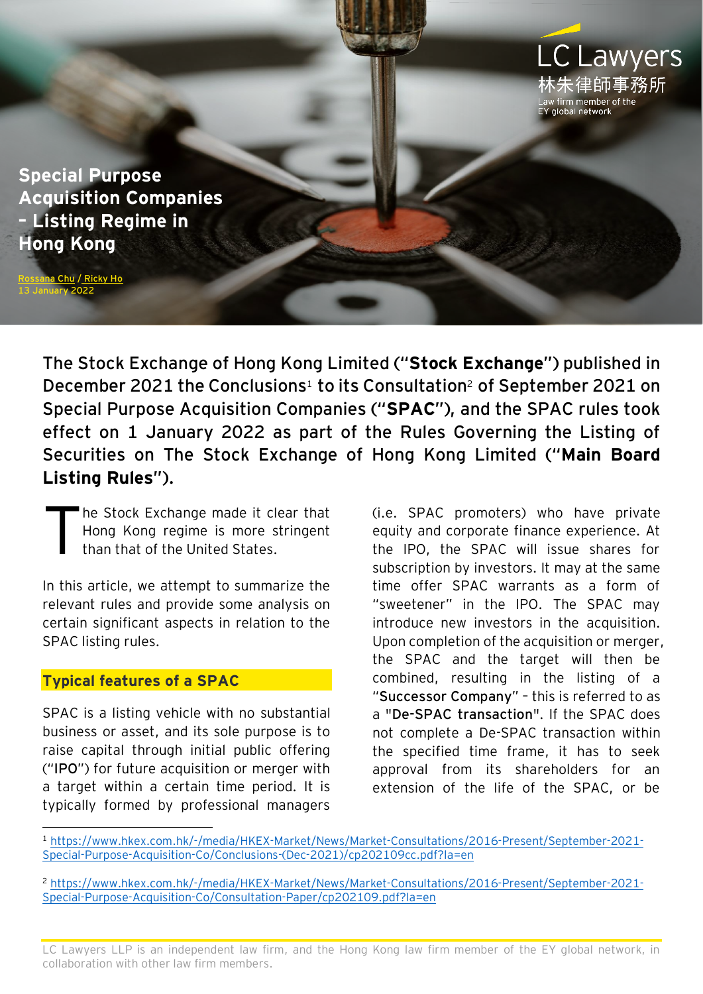

**Special Purpose Acquisition Companies – Listing Regime in Hong Kong**

a Chu / [Ricky Ho](https://www.eylaw.com.hk/en_hk/people/ricky-ho) anuary 2022

> The Stock Exchange of Hong Kong Limited ("**Stock Exchange**") published in December 2021 the Conclusions<sup>1</sup> to its Consultation<sup>2</sup> of September 2021 on Special Purpose Acquisition Companies ("**SPAC**"), and the SPAC rules took effect on 1 January 2022 as part of the Rules Governing the Listing of Securities on The Stock Exchange of Hong Kong Limited ("**Main Board Listing Rules**").

he Stock Exchange made it clear that Hong Kong regime is more stringent than that of the United States. T

In this article, we attempt to summarize the relevant rules and provide some analysis on certain significant aspects in relation to the SPAC listing rules.

#### **Typical features of a SPAC**

SPAC is a listing vehicle with no substantial business or asset, and its sole purpose is to raise capital through initial public offering ("**IPO**") for future acquisition or merger with a target within a certain time period. It is typically formed by professional managers

(i.e. SPAC promoters) who have private equity and corporate finance experience. At the IPO, the SPAC will issue shares for subscription by investors. It may at the same time offer SPAC warrants as a form of "sweetener" in the IPO. The SPAC may introduce new investors in the acquisition. Upon completion of the acquisition or merger, the SPAC and the target will then be combined, resulting in the listing of a "**Successor Company**" – this is referred to as a "**De-SPAC transaction**". If the SPAC does not complete a De-SPAC transaction within the specified time frame, it has to seek approval from its shareholders for an extension of the life of the SPAC, or be

<sup>1</sup> [https://www.hkex.com.hk/-/media/HKEX-Market/News/Market-Consultations/2016-Present/September-2021-](https://www.hkex.com.hk/-/media/HKEX-Market/News/Market-Consultations/2016-Present/September-2021-Special-Purpose-Acquisition-Co/Conclusions-(Dec-2021)/cp202109cc.pdf?la=en) [Special-Purpose-Acquisition-Co/Conclusions-\(Dec-2021\)/cp202109cc.pdf?la=en](https://www.hkex.com.hk/-/media/HKEX-Market/News/Market-Consultations/2016-Present/September-2021-Special-Purpose-Acquisition-Co/Conclusions-(Dec-2021)/cp202109cc.pdf?la=en)

<sup>2</sup> [https://www.hkex.com.hk/-/media/HKEX-Market/News/Market-Consultations/2016-Present/September-2021-](https://www.hkex.com.hk/-/media/HKEX-Market/News/Market-Consultations/2016-Present/September-2021-Special-Purpose-Acquisition-Co/Consultation-Paper/cp202109.pdf?la=en) [Special-Purpose-Acquisition-Co/Consultation-Paper/cp202109.pdf?la=en](https://www.hkex.com.hk/-/media/HKEX-Market/News/Market-Consultations/2016-Present/September-2021-Special-Purpose-Acquisition-Co/Consultation-Paper/cp202109.pdf?la=en)

LC Lawyers LLP is an independent law firm, and the Hong Kong law firm member of the EY global network, in collaboration with other law firm members.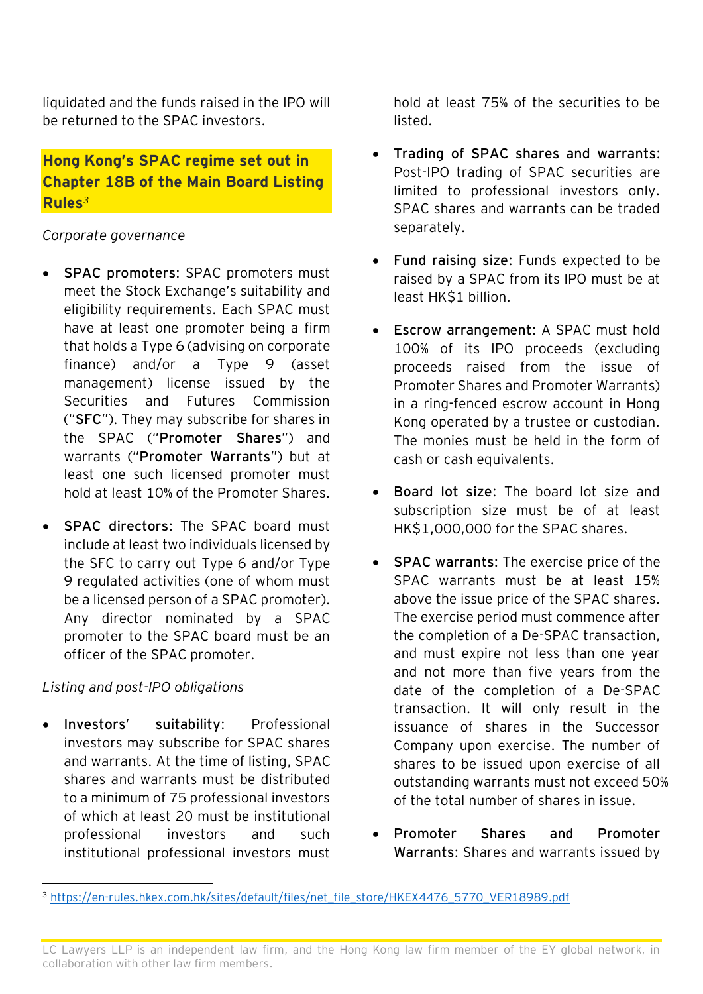liquidated and the funds raised in the IPO will be returned to the SPAC investors.

## **Hong Kong's SPAC regime set out in Chapter 18B of the Main Board Listing Rules***<sup>3</sup>*

### *Corporate governance*

- **SPAC promoters**: SPAC promoters must meet the Stock Exchange's suitability and eligibility requirements. Each SPAC must have at least one promoter being a firm that holds a Type 6 (advising on corporate finance) and/or a Type 9 (asset management) license issued by the Securities and Futures Commission ("**SFC**"). They may subscribe for shares in the SPAC ("**Promoter Shares**") and warrants ("**Promoter Warrants**") but at least one such licensed promoter must hold at least 10% of the Promoter Shares.
- **SPAC directors**: The SPAC board must include at least two individuals licensed by the SFC to carry out Type 6 and/or Type 9 regulated activities (one of whom must be a licensed person of a SPAC promoter). Any director nominated by a SPAC promoter to the SPAC board must be an officer of the SPAC promoter.

### *Listing and post-IPO obligations*

• **Investors' suitability**: Professional investors may subscribe for SPAC shares and warrants. At the time of listing, SPAC shares and warrants must be distributed to a minimum of 75 professional investors of which at least 20 must be institutional professional investors and such institutional professional investors must

hold at least 75% of the securities to be listed.

- **Trading of SPAC shares and warrants**: Post-IPO trading of SPAC securities are limited to professional investors only. SPAC shares and warrants can be traded separately.
- **Fund raising size**: Funds expected to be raised by a SPAC from its IPO must be at least HK\$1 billion.
- **Escrow arrangement**: A SPAC must hold 100% of its IPO proceeds (excluding proceeds raised from the issue of Promoter Shares and Promoter Warrants) in a ring-fenced escrow account in Hong Kong operated by a trustee or custodian. The monies must be held in the form of cash or cash equivalents.
- **Board lot size**: The board lot size and subscription size must be of at least HK\$1,000,000 for the SPAC shares.
- **SPAC warrants**: The exercise price of the SPAC warrants must be at least 15% above the issue price of the SPAC shares. The exercise period must commence after the completion of a De-SPAC transaction, and must expire not less than one year and not more than five years from the date of the completion of a De-SPAC transaction. It will only result in the issuance of shares in the Successor Company upon exercise. The number of shares to be issued upon exercise of all outstanding warrants must not exceed 50% of the total number of shares in issue.
- **Promoter Shares and Promoter Warrants**: Shares and warrants issued by

<sup>&</sup>lt;sup>3</sup> [https://en-rules.hkex.com.hk/sites/default/files/net\\_file\\_store/HKEX4476\\_5770\\_VER18989.pdf](https://en-rules.hkex.com.hk/sites/default/files/net_file_store/HKEX4476_5770_VER18989.pdf)

LC Lawyers LLP is an independent law firm, and the Hong Kong law firm member of the EY global network, in collaboration with other law firm members.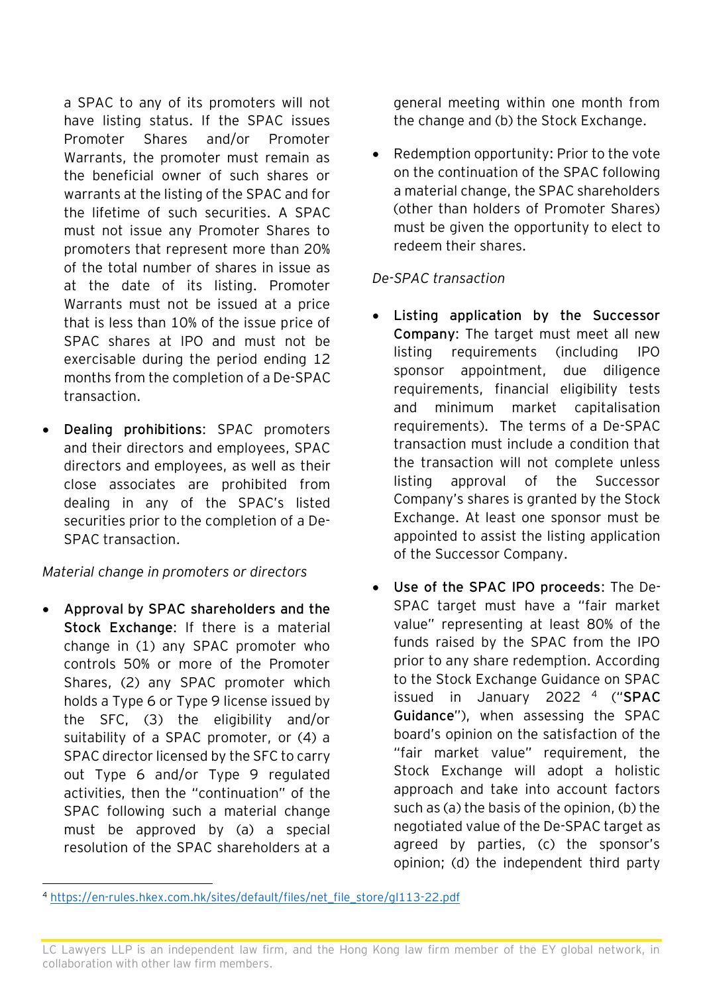a SPAC to any of its promoters will not have listing status. If the SPAC issues Promoter Shares and/or Promoter Warrants, the promoter must remain as the beneficial owner of such shares or warrants at the listing of the SPAC and for the lifetime of such securities. A SPAC must not issue any Promoter Shares to promoters that represent more than 20% of the total number of shares in issue as at the date of its listing. Promoter Warrants must not be issued at a price that is less than 10% of the issue price of SPAC shares at IPO and must not be exercisable during the period ending 12 months from the completion of a De-SPAC transaction.

• **Dealing prohibitions**: SPAC promoters and their directors and employees, SPAC directors and employees, as well as their close associates are prohibited from dealing in any of the SPAC's listed securities prior to the completion of a De-SPAC transaction.

### *Material change in promoters or directors*

• **Approval by SPAC shareholders and the Stock Exchange**: If there is a material change in (1) any SPAC promoter who controls 50% or more of the Promoter Shares, (2) any SPAC promoter which holds a Type 6 or Type 9 license issued by the SFC, (3) the eligibility and/or suitability of a SPAC promoter, or (4) a SPAC director licensed by the SFC to carry out Type 6 and/or Type 9 regulated activities, then the "continuation" of the SPAC following such a material change must be approved by (a) a special resolution of the SPAC shareholders at a

general meeting within one month from the change and (b) the Stock Exchange.

• Redemption opportunity: Prior to the vote on the continuation of the SPAC following a material change, the SPAC shareholders (other than holders of Promoter Shares) must be given the opportunity to elect to redeem their shares.

# *De-SPAC transaction*

- **Listing application by the Successor Company**: The target must meet all new listing requirements (including IPO sponsor appointment, due diligence requirements, financial eligibility tests and minimum market capitalisation requirements). The terms of a De-SPAC transaction must include a condition that the transaction will not complete unless listing approval of the Successor Company's shares is granted by the Stock Exchange. At least one sponsor must be appointed to assist the listing application of the Successor Company.
- **Use of the SPAC IPO proceeds**: The De-SPAC target must have a "fair market value" representing at least 80% of the funds raised by the SPAC from the IPO prior to any share redemption. According to the Stock Exchange Guidance on SPAC issued in January 2022 <sup>4</sup> ("**SPAC Guidance**"), when assessing the SPAC board's opinion on the satisfaction of the "fair market value" requirement, the Stock Exchange will adopt a holistic approach and take into account factors such as (a) the basis of the opinion, (b) the negotiated value of the De-SPAC target as agreed by parties, (c) the sponsor's opinion; (d) the independent third party

<sup>4</sup> [https://en-rules.hkex.com.hk/sites/default/files/net\\_file\\_store/gl113-22.pdf](https://en-rules.hkex.com.hk/sites/default/files/net_file_store/gl113-22.pdf)

LC Lawyers LLP is an independent law firm, and the Hong Kong law firm member of the EY global network, in collaboration with other law firm members.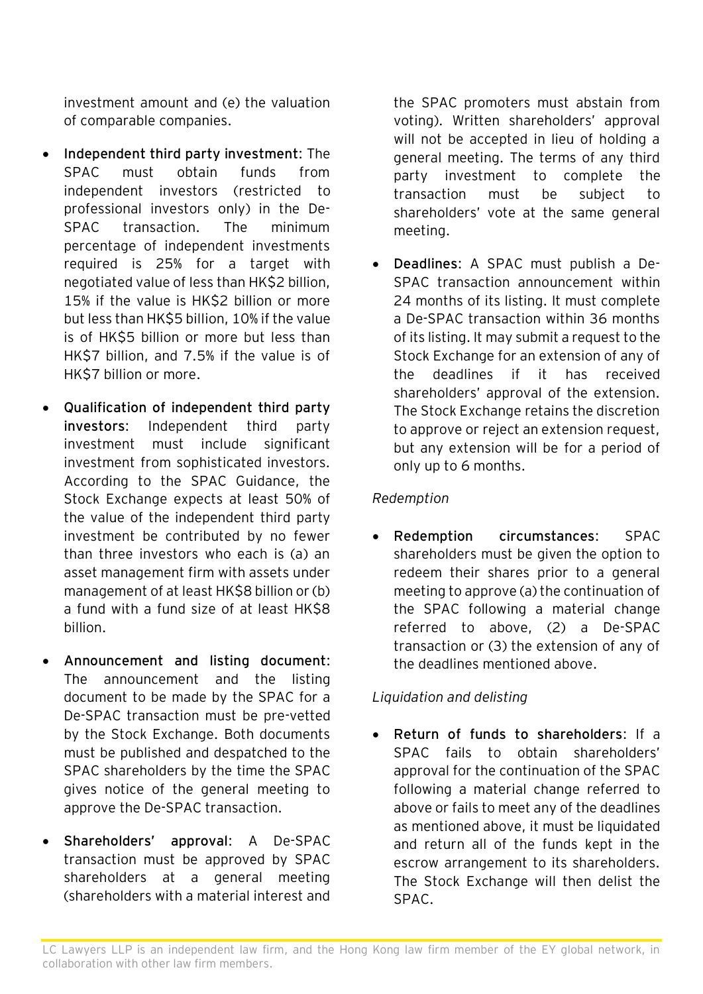investment amount and (e) the valuation of comparable companies.

- **Independent third party investment**: The SPAC must obtain funds from independent investors (restricted to professional investors only) in the De-SPAC transaction. The minimum percentage of independent investments required is 25% for a target with negotiated value of less than HK\$2 billion, 15% if the value is HK\$2 billion or more but less than HK\$5 billion, 10% if the value is of HK\$5 billion or more but less than HK\$7 billion, and 7.5% if the value is of HK\$7 billion or more.
- **Qualification of independent third party investors**: Independent third party investment must include significant investment from sophisticated investors. According to the SPAC Guidance, the Stock Exchange expects at least 50% of the value of the independent third party investment be contributed by no fewer than three investors who each is (a) an asset management firm with assets under management of at least HK\$8 billion or (b) a fund with a fund size of at least HK\$8 billion.
- **Announcement and listing document**: The announcement and the listing document to be made by the SPAC for a De-SPAC transaction must be pre-vetted by the Stock Exchange. Both documents must be published and despatched to the SPAC shareholders by the time the SPAC gives notice of the general meeting to approve the De-SPAC transaction.
- **Shareholders' approval**: A De-SPAC transaction must be approved by SPAC shareholders at a general meeting (shareholders with a material interest and

the SPAC promoters must abstain from voting). Written shareholders' approval will not be accepted in lieu of holding a general meeting. The terms of any third party investment to complete the transaction must be subject to shareholders' vote at the same general meeting.

• **Deadlines**: A SPAC must publish a De-SPAC transaction announcement within 24 months of its listing. It must complete a De-SPAC transaction within 36 months of its listing. It may submit a request to the Stock Exchange for an extension of any of the deadlines if it has received shareholders' approval of the extension. The Stock Exchange retains the discretion to approve or reject an extension request, but any extension will be for a period of only up to 6 months.

#### *Redemption*

• **Redemption circumstances**: SPAC shareholders must be given the option to redeem their shares prior to a general meeting to approve (a) the continuation of the SPAC following a material change referred to above, (2) a De-SPAC transaction or (3) the extension of any of the deadlines mentioned above.

#### *Liquidation and delisting*

• **Return of funds to shareholders**: If a SPAC fails to obtain shareholders' approval for the continuation of the SPAC following a material change referred to above or fails to meet any of the deadlines as mentioned above, it must be liquidated and return all of the funds kept in the escrow arrangement to its shareholders. The Stock Exchange will then delist the SPAC.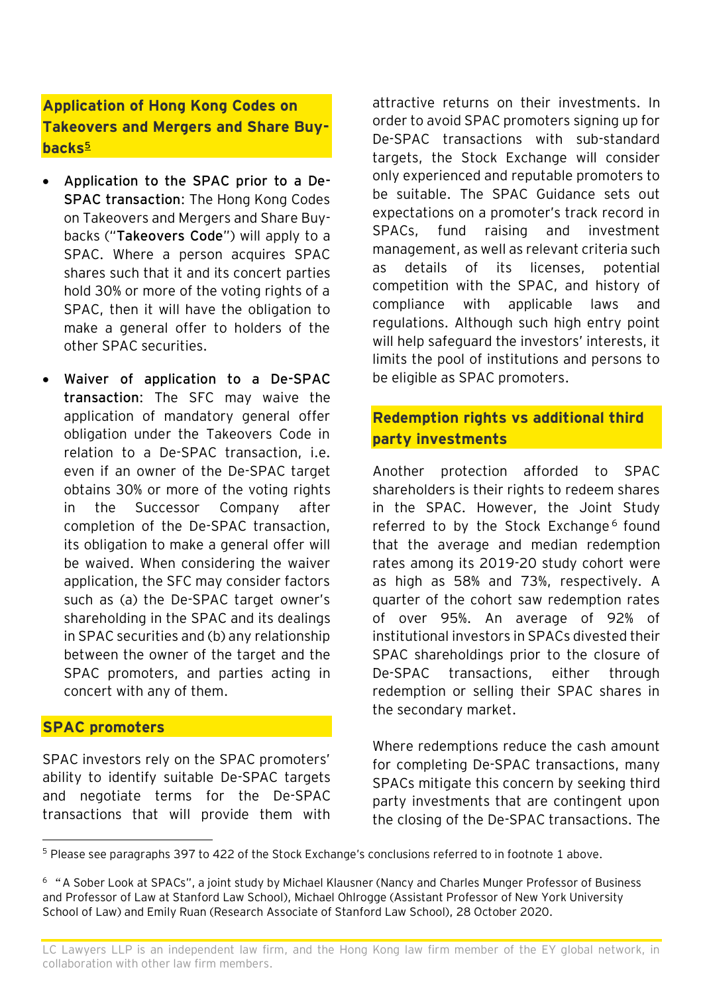# **Application of Hong Kong Codes on Takeovers and Mergers and Share Buybacks<sup>5</sup>**

- **Application to the SPAC prior to a De-SPAC transaction**: The Hong Kong Codes on Takeovers and Mergers and Share Buybacks ("**Takeovers Code**") will apply to a SPAC. Where a person acquires SPAC shares such that it and its concert parties hold 30% or more of the voting rights of a SPAC, then it will have the obligation to make a general offer to holders of the other SPAC securities.
- **Waiver of application to a De-SPAC transaction**: The SFC may waive the application of mandatory general offer obligation under the Takeovers Code in relation to a De-SPAC transaction, i.e. even if an owner of the De-SPAC target obtains 30% or more of the voting rights in the Successor Company after completion of the De-SPAC transaction, its obligation to make a general offer will be waived. When considering the waiver application, the SFC may consider factors such as (a) the De-SPAC target owner's shareholding in the SPAC and its dealings in SPAC securities and (b) any relationship between the owner of the target and the SPAC promoters, and parties acting in concert with any of them.

#### **SPAC promoters**

SPAC investors rely on the SPAC promoters' ability to identify suitable De-SPAC targets and negotiate terms for the De-SPAC transactions that will provide them with attractive returns on their investments. In order to avoid SPAC promoters signing up for De-SPAC transactions with sub-standard targets, the Stock Exchange will consider only experienced and reputable promoters to be suitable. The SPAC Guidance sets out expectations on a promoter's track record in SPACs, fund raising and investment management, as well as relevant criteria such as details of its licenses, potential competition with the SPAC, and history of compliance with applicable laws and regulations. Although such high entry point will help safeguard the investors' interests, it limits the pool of institutions and persons to be eligible as SPAC promoters.

### **Redemption rights vs additional third party investments**

Another protection afforded to SPAC shareholders is their rights to redeem shares in the SPAC. However, the Joint Study referred to by the Stock Exchange<sup>6</sup> found that the average and median redemption rates among its 2019-20 study cohort were as high as 58% and 73%, respectively. A quarter of the cohort saw redemption rates of over 95%. An average of 92% of institutional investors in SPACs divested their SPAC shareholdings prior to the closure of De-SPAC transactions, either through redemption or selling their SPAC shares in the secondary market.

Where redemptions reduce the cash amount for completing De-SPAC transactions, many SPACs mitigate this concern by seeking third party investments that are contingent upon the closing of the De-SPAC transactions. The

<sup>5</sup> Please see paragraphs 397 to 422 of the Stock Exchange's conclusions referred to in footnote 1 above.

<sup>6</sup> "A Sober Look at SPACs", a joint study by Michael Klausner (Nancy and Charles Munger Professor of Business and Professor of Law at Stanford Law School), Michael Ohlrogge (Assistant Professor of New York University School of Law) and Emily Ruan (Research Associate of Stanford Law School), 28 October 2020.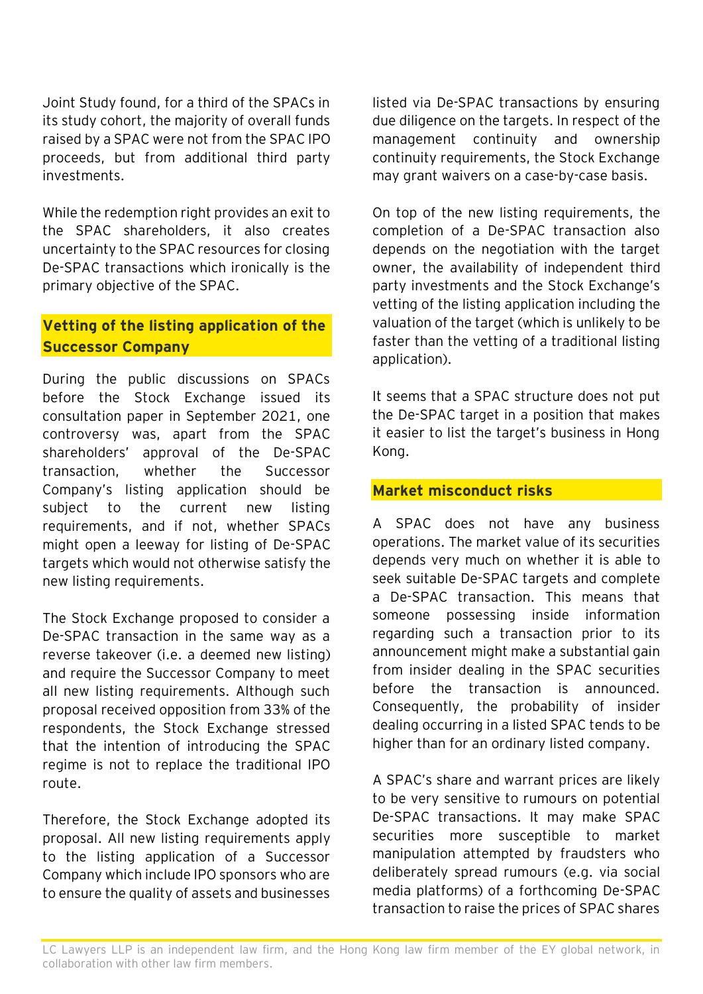Joint Study found, for a third of the SPACs in its study cohort, the majority of overall funds raised by a SPAC were not from the SPAC IPO proceeds, but from additional third party investments.

While the redemption right provides an exit to the SPAC shareholders, it also creates uncertainty to the SPAC resources for closing De-SPAC transactions which ironically is the primary objective of the SPAC.

### **Vetting of the listing application of the Successor Company**

During the public discussions on SPACs before the Stock Exchange issued its consultation paper in September 2021, one controversy was, apart from the SPAC shareholders' approval of the De-SPAC transaction, whether the Successor Company's listing application should be subject to the current new listing requirements, and if not, whether SPACs might open a leeway for listing of De-SPAC targets which would not otherwise satisfy the new listing requirements.

The Stock Exchange proposed to consider a De-SPAC transaction in the same way as a reverse takeover (i.e. a deemed new listing) and require the Successor Company to meet all new listing requirements. Although such proposal received opposition from 33% of the respondents, the Stock Exchange stressed that the intention of introducing the SPAC regime is not to replace the traditional IPO route.

Therefore, the Stock Exchange adopted its proposal. All new listing requirements apply to the listing application of a Successor Company which include IPO sponsors who are to ensure the quality of assets and businesses

listed via De-SPAC transactions by ensuring due diligence on the targets. In respect of the management continuity and ownership continuity requirements, the Stock Exchange may grant waivers on a case-by-case basis.

On top of the new listing requirements, the completion of a De-SPAC transaction also depends on the negotiation with the target owner, the availability of independent third party investments and the Stock Exchange's vetting of the listing application including the valuation of the target (which is unlikely to be faster than the vetting of a traditional listing application).

It seems that a SPAC structure does not put the De-SPAC target in a position that makes it easier to list the target's business in Hong Kong.

### **Market misconduct risks**

A SPAC does not have any business operations. The market value of its securities depends very much on whether it is able to seek suitable De-SPAC targets and complete a De-SPAC transaction. This means that someone possessing inside information regarding such a transaction prior to its announcement might make a substantial gain from insider dealing in the SPAC securities before the transaction is announced. Consequently, the probability of insider dealing occurring in a listed SPAC tends to be higher than for an ordinary listed company.

A SPAC's share and warrant prices are likely to be very sensitive to rumours on potential De-SPAC transactions. It may make SPAC securities more susceptible to market manipulation attempted by fraudsters who deliberately spread rumours (e.g. via social media platforms) of a forthcoming De-SPAC transaction to raise the prices of SPAC shares

LC Lawyers LLP is an independent law firm, and the Hong Kong law firm member of the EY global network, in collaboration with other law firm members.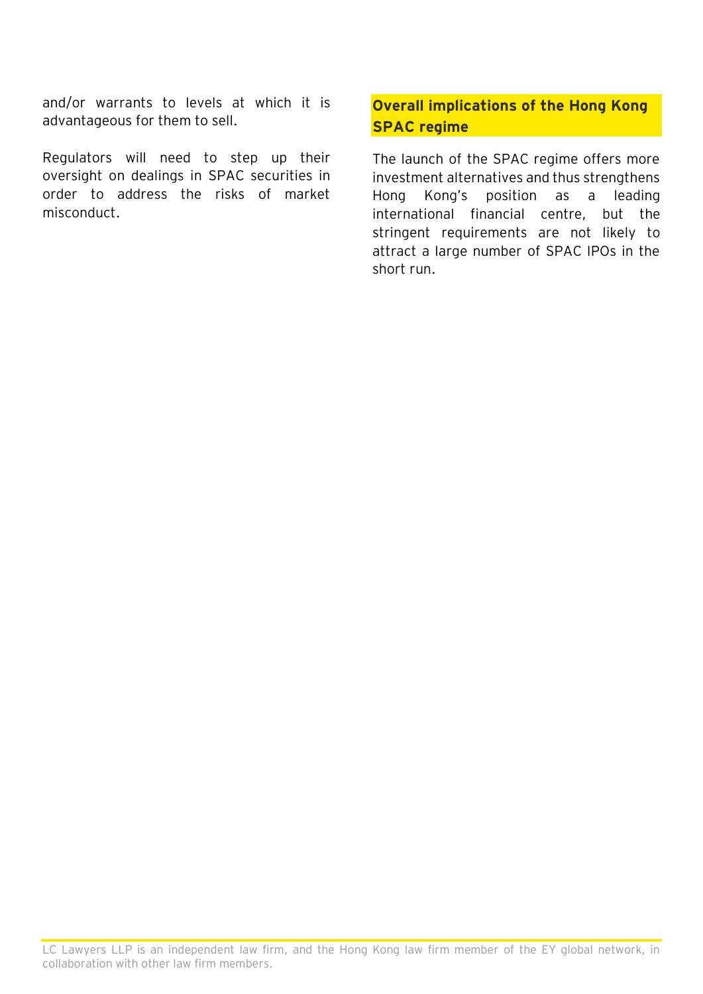and/or warrants to levels at which it is advantageous for them to sell.

Regulators will need to step up their oversight on dealings in SPAC securities in order to address the risks of market misconduct.

# **Overall implications of the Hong Kong SPAC regime**

The launch of the SPAC regime offers more investment alternatives and thus strengthens Hong Kong's position as a leading international financial centre, but the stringent requirements are not likely to attract a large number of SPAC IPOs in the short run.

LC Lawyers LLP is an independent law firm, and the Hong Kong law firm member of the EY global network, in collaboration with other law firm members.